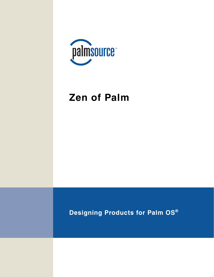

## **Zen of Palm**

**Designing Products for Palm OS®**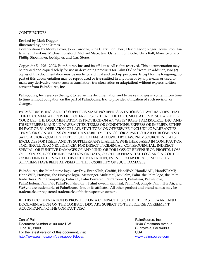#### **CONTRIBUTORS**

Revised by Mark Dugger

Illustrated by John Grimes

Contributions by Monty Boyer, John Cardozo, Gina Clark, Bob Ebert, David Fedor, Roger Flores, Rob Haitani, Jeff Hawkins, Michael Lunsford, Michael Mace, Jean Ostrem, Lon Poole, Chris Raff, Maurice Sharp, Phillip Shoemaker, Joe Sipher, and Carl Stone.

Copyright © 1996 - 2003, PalmSource, Inc. and its affiliates. All rights reserved. This documentation may be printed and copied solely for use in developing products for Palm OS® software. In addition, two (2) copies of this documentation may be made for archival and backup purposes. Except for the foregoing, no part of this documentation may be reproduced or transmitted in any form or by any means or used to make any derivative work (such as translation, transformation or adaptation) without express written consent from PalmSource, Inc.

PalmSource, Inc. reserves the right to revise this documentation and to make changes in content from time to time without obligation on the part of PalmSource, Inc. to provide notification of such revision or changes.

PALMSOURCE, INC. AND ITS SUPPLIERS MAKE NO REPRESENTATIONS OR WARRANTIES THAT THE DOCUMENTATION IS FREE OF ERRORS OR THAT THE DOCUMENTATION IS SUITABLE FOR YOUR USE. THE DOCUMENTATION IS PROVIDED ON AN "AS IS" BASIS. PALMSOURCE, INC. AND ITS SUPPLIERS MAKE NO WARRANTIES, TERMS OR CONDITIONS, EXPRESS OR IMPLIED, EITHER IN FACT OR BY OPERATION OF LAW, STATUTORY OR OTHERWISE, INCLUDING WARRANTIES, TERMS, OR CONDITIONS OF MERCHANTABILITY, FITNESS FOR A PARTICULAR PURPOSE, AND SATISFACTORY QUALITY. TO THE FULL EXTENT ALLOWED BY LAW, PALMSOURCE, INC. ALSO EXCLUDES FOR ITSELF AND ITS SUPPLIERS ANY LIABILITY, WHETHER BASED IN CONTRACT OR TORT (INCLUDING NEGLIGENCE), FOR DIRECT, INCIDENTAL, CONSEQUENTIAL, INDIRECT, SPECIAL, OR PUNITIVE DAMAGES OF ANY KIND, OR FOR LOSS OF REVENUE OR PROFITS, LOSS OF BUSINESS, LOSS OF INFORMATION OR DATA, OR OTHER FINANCIAL LOSS ARISING OUT OF OR IN CONNECTION WITH THIS DOCUMENTATION, EVEN IF PALMSOURCE, INC. OR ITS SUPPLIERS HAVE BEEN ADVISED OF THE POSSIBILITY OF SUCH DAMAGES.

PalmSource, the PalmSource logo, AnyDay, EventClub, Graffiti, HandFAX, HandMAIL, HandSTAMP, HandWEB, HotSync, the HotSync logo, iMessenger, MultiMail, MyPalm, Palm, the Palm logo, the Palm trade dress, Palm Computing, Palm OS, Palm Powered, PalmConnect, PalmGear, PalmGlove, PalmModem, PalmPak, PalmPix, PalmPoint, PalmPower, PalmPrint, Palm.Net, Simply Palm, ThinAir, and WeSync are trademarks of PalmSource, Inc. or its affiliates. All other product and brand names may be trademarks or registered trademarks of their respective owners.

IF THIS DOCUMENTATION IS PROVIDED ON A COMPACT DISC, THE OTHER SOFTWARE AND DOCUMENTATION ON THE COMPACT DISC ARE SUBJECT TO THE LICENSE AGREEMENT ACCOMPANYING THE COMPACT DISC.

Zen of Palm Document Number 3100-002-HW June 13, 2003 For the latest version of this document, visit <http://www.palmos.com/dev/support/docs/>.

PalmSource, Inc. 1240 Crossman Avenue Sunnyvale, CA 94089 USA [www.palmsource.com](http://www.palmsource.com)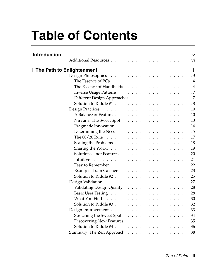# **Table of Contents**

| <b>Introduction</b>         | v                                                                                             |
|-----------------------------|-----------------------------------------------------------------------------------------------|
|                             | V1                                                                                            |
| 1 The Path to Enlightenment |                                                                                               |
|                             |                                                                                               |
|                             | The Essence of PCs $\ldots$ $\ldots$ $\ldots$ $\ldots$ $\ldots$ $\ldots$ $\ldots$ $\ldots$    |
|                             | The Essence of Handhelds. 4                                                                   |
|                             |                                                                                               |
|                             | Different Design Approaches 7                                                                 |
|                             | Solution to Riddle #1 $\ldots$ $\ldots$ $\ldots$ $\ldots$ $\ldots$ $\ldots$ $\ldots$ $\ldots$ |
|                             |                                                                                               |
|                             | A Balance of Features. 10                                                                     |
|                             | Nirvana: The Sweet Spot 13                                                                    |
|                             | Pragmatic Innovation. 14                                                                      |
|                             | Determining the Need 15                                                                       |
|                             | The $80/20$ Rule $\ldots$ 17                                                                  |
|                             | Scaling the Problems 18                                                                       |
|                             | Sharing the Work. $\ldots$ 19                                                                 |
|                             |                                                                                               |
|                             | Intuitive                                                                                     |
|                             | Easy to Remember 22                                                                           |
|                             | Example: Train Catcher 23                                                                     |
|                             |                                                                                               |
|                             |                                                                                               |
|                             | Validating Design Quality 28                                                                  |
|                             |                                                                                               |
|                             |                                                                                               |
|                             | Solution to Riddle #3 $\ldots$ $\ldots$ $\ldots$ $\ldots$ $\ldots$ $\ldots$ $\ldots$ 32       |
|                             |                                                                                               |
|                             | Stretching the Sweet Spot<br>-34                                                              |
|                             | 35<br>Discovering New Features.                                                               |
|                             |                                                                                               |
|                             | Summary: The Zen Approach 38                                                                  |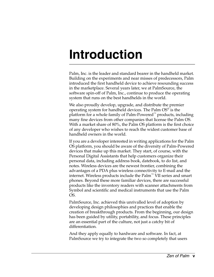## <span id="page-4-0"></span>**Introduction**

Palm, Inc. is the leader and standard bearer in the handheld market. Building on the experiments and near misses of predecessors, Palm introduced the first handheld device to achieve resounding success in the marketplace. Several years later, we at PalmSource, the software spin-off of Palm, Inc., continue to produce the operating system that runs on the best handhelds in the world.

We also proudly develop, upgrade, and distribute the premier operating system for handheld devices. The Palm OS® is the platform for a whole family of Palm-Powered™ products, including many fine devices from other companies that license the Palm OS. With a market share of 80%, the Palm OS platform is the first choice of any developer who wishes to reach the widest customer base of handheld owners in the world.

If you are a developer interested in writing applications for the Palm OS platform, you should be aware of the diversity of Palm-Powered devices that make up this market. They start, of course, with the Personal Digital Assistants that help customers organize their personal data, including address book, datebook, to do list, and notes. Wireless devices are the newest frontier, combining the advantages of a PDA plus wireless connectivity to E-mail and the internet. Wireless products include the Palm™ VII series and smart phones. Beyond these more familiar devices, there are successful products like the inventory readers with scanner attachments from Symbol and scientific and medical instruments that use the Palm OS.

PalmSource, Inc. achieved this unrivalled level of adoption by developing design philosophies and practices that enable the creation of breakthrough products. From the beginning, our design has been guided by utility, portability, and focus. These principles are an essential part of the culture, not just a catchy bit of differentiation.

And they apply equally to hardware and software. In fact, at PalmSource we try to integrate the two so completely that users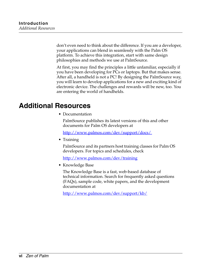don't even need to think about the difference. If you are a developer, your applications can blend in seamlessly with the Palm OS platform. To achieve this integration, start with same design philosophies and methods we use at PalmSource.

At first, you may find the principles a little unfamiliar, especially if you have been developing for PCs or laptops. But that makes sense. After all, a handheld is not a PC! By designing the PalmSource way, you will learn to develop applications for a new and exciting kind of electronic device. The challenges and rewards will be new, too. You are entering the world of handhelds.

## <span id="page-5-0"></span>**Additional Resources**

• Documentation

PalmSource publishes its latest versions of this and other documents for Palm OS developers at

http://www.palmos.com/dev/support/docs/

• Training

PalmSource and its partners host training classes for Palm OS developers. For topics and schedules, check

<http://www.palmos.com/dev/training>

• Knowledge Base

The Knowledge Base is a fast, web-based database of technical information. Search for frequently asked questions (FAQs), sample code, white papers, and the development documentation at

<http://www.palmos.com/dev/support/kb/>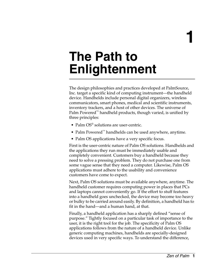**1**

## <span id="page-6-0"></span>**The Path to Enlightenment**

The design philosophies and practices developed at PalmSource, Inc. target a specific kind of computing instrument—the handheld device. Handhelds include personal digital organizers, wireless communicators, smart phones, medical and scientific instruments, inventory trackers, and a host of other devices. The universe of Palm Powered<sup>™</sup> handheld products, though varied, is unified by three principles:

- Palm OS<sup>®</sup> solutions are user-centric.
- Palm Powered™ handhelds can be used anywhere, anytime.
- Palm OS applications have a very specific focus.

First is the user-centric nature of Palm OS solutions. Handhelds and the applications they run must be immediately usable and completely convenient. Customers buy a handheld because they need to solve a pressing problem. They do not purchase one from some vague sense that they need a computer. Likewise, Palm OS applications must adhere to the usability and convenience customers have come to expect.

Next, Palm OS solutions must be available anywhere, anytime. The handheld customer requires computing power in places that PCs and laptops cannot conveniently go. If the effort to stuff features into a handheld goes unchecked, the device may become too heavy or bulky to be carried around easily. By definition, a handheld has to fit in the hand—and a human hand, at that.

Finally, a handheld application has a sharply defined "sense of purpose." Tightly focused on a particular task of importance to the user, it is the right tool for the job. The specificity of Palm OS applications follows from the nature of a handheld device. Unlike generic computing machines, handhelds are specially-designed devices used in very specific ways. To understand the difference,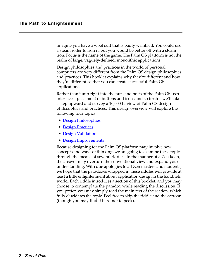imagine you have a wool suit that is badly wrinkled. You could use a steam roller to iron it, but you would be better off with a steam iron. Focus is the name of the game. The Palm OS platform is not the realm of large, vaguely-defined, monolithic applications.

Design philosophies and practices in the world of personal computers are very different from the Palm OS design philosophies and practices. This booklet explains why they're different and how they're different so that you can create successful Palm OS applications.

Rather than jump right into the nuts and bolts of the Palm OS user interface—placement of buttons and icons and so forth—we'll take a step upward and survey a 10,000 ft. view of Palm OS design philosophies and practices. This design overview will explore the following four topics:

- [Design Philosophies](#page-8-0)
- [Design Practices](#page-15-0)
- [Design Validation](#page-32-0)
- [Design Improvements](#page-38-0)

Because designing for the Palm OS platform may involve new concepts and ways of thinking, we are going to examine these topics through the means of several riddles. In the manner of a Zen koan, the answer may overturn the conventional view and expand your understanding. With due apologies to all Zen masters and students, we hope that the paradoxes wrapped in these riddles will provide at least a little enlightenment about application design in the handheld world. Each riddle introduces a section of this booklet, and you may choose to contemplate the paradox while reading the discussion. If you prefer, you may simply read the main text of the section, which fully elucidates the topic. Feel free to skip the riddle and the cartoon (though you may find it hard not to peek).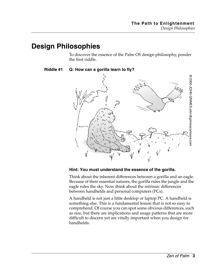## <span id="page-8-0"></span>**Design Philosophies**

To discover the essence of the Palm OS design philosophy, ponder the first riddle.

#### **Riddle #1 Q: How can a gorilla learn to fly?**



#### **Hint: You must understand the essence of the gorilla.**

Think about the inherent differences between a gorilla and an eagle. Because of their essential natures, the gorilla rules the jungle and the eagle rules the sky. Now think about the intrinsic differences between handhelds and personal computers (PCs).

A handheld is not just a little desktop or laptop PC. A handheld is something else. This is a fundamental lesson that is not so easy to comprehend. Of course you can spot some obvious differences, such as size, but there are implications and usage patterns that are more difficult to discern yet are vitally important when you design for handhelds.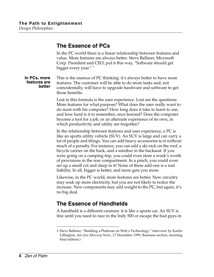### <span id="page-9-0"></span>**The Essence of PCs**

In the PC world there is a linear relationship between features and value. More features are always better. Steve Ballmer, Microsoft Corp. President and CEO, put it this way, "Software should get bigger every year."  $\frac{1}{1}$ 

**In PCs, more features are better** This is the essence of PC thinking: it's always better to have more features. The customer will be able to do more tasks and, not coincidentally, will have to upgrade hardware and software to get those benefits.

> Lost in this formula is the user experience. Lost are the questions: More features for what purpose? What does the user really want to do most with his computer? How long does it take to learn to use, and how hard is it to remember, once learned? Does the computer become a tool for a job, or an alternate experience of its own, in which productivity and utility are forgotten?

> In the relationship between features and user experience, a PC is like an sports utility vehicle (SUV). An SUV is large and can carry a lot of people and things. You can add heavy accessories to it without much of a penalty. For instance, you can add a ski rack on the roof, a bicycle carrier on the back, and a minibar in the backseat. If you were going on a camping trip, you could even store a week's worth of provisions in the rear compartment. In a pinch, you could even set up a small cot and sleep in it! None of these add-ons is a real liability. In all, bigger is better, and more gets you more.

> Likewise, in the PC world, more features are better. New circuitry may soak up more electricity, but you are not likely to notice the increase. New components may add weight to the PC, but again, it's no big deal.

## <span id="page-9-1"></span>**The Essence of Handhelds**

A handheld is a different creature: it is like a sports car. An SUV is fine until you need to race in the Indy 500 or escape the bad guys in

<sup>1.</sup> Steve Ballmer, "Building a Platform on Web's Technology," interview by Karlin Lillington, *San Jose Mercury News*, 17 December 1999, Business section, morning final edition.)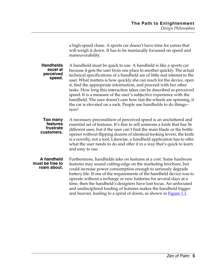|                                                     | a high-speed chase. A sports car doesn't have time for extras that<br>will weigh it down. It has to be maniacally focussed on speed and<br>maneuverability.                                                                                                                                                                                                                                                                                                                                                                                                                                                                                                              |
|-----------------------------------------------------|--------------------------------------------------------------------------------------------------------------------------------------------------------------------------------------------------------------------------------------------------------------------------------------------------------------------------------------------------------------------------------------------------------------------------------------------------------------------------------------------------------------------------------------------------------------------------------------------------------------------------------------------------------------------------|
| <b>Handhelds</b><br>excel at<br>perceived<br>speed. | A handheld must be quick to use. A handheld is like a sports car<br>because it gets the user from one place to another quickly. The actual<br>technical specifications of a handheld are of little real interest to the<br>user. What matters is how quickly she can reach for the device, open<br>it, find the appropriate information, and proceed with her other<br>tasks. How long this interaction takes can be described as perceived<br>speed. It is a measure of the user's subjective experience with the<br>handheld. The user doesn't care how fast the wheels are spinning, if<br>the car is elevated on a rack. People use handhelds to do things--<br>now! |
| Too many<br>features<br>frustrate<br>customers.     | A necessary precondition of perceived speed is an uncluttered and<br>essential set of features. It's fine to sell someone a knife that has 56<br>different uses, but if the user can't find the main blade or the bottle<br>opener without flipping dozens of identical-looking levers, the knife<br>is a novelty, not a tool. Likewise, a handheld application has to offer<br>what the user needs to do and offer it in a way that's quick to learn<br>and easy to use.                                                                                                                                                                                                |
| A handheld<br>must be free to<br>roam about.        | Furthermore, handhelds take on features at a cost. Some hardware<br>features may sound cutting-edge on the marketing brochure, but<br>could increase power consumption enough to seriously degrade<br>battery life. If one of the requirements of the handheld device was to<br>operate without a recharge or new batteries for several days at a<br>time, then the handheld's designers have lost focus. An unfocused<br>and undisciplined loading of features makes the handheld bigger<br>and heavier, leading to a spiral of doom, as shown in <b>Figure 1.1</b> .                                                                                                   |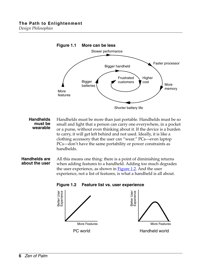<span id="page-11-0"></span>

**Handhelds must be wearable** Handhelds must be more than just portable. Handhelds must be so small and light that a person can carry one everywhere, in a pocket or a purse, without even thinking about it. If the device is a burden to carry, it will get left behind and not used. Ideally, it is like a clothing accessory that the user can "wear." PCs—even laptop PCs—don't have the same portability or power constraints as handhelds.

#### <span id="page-11-1"></span>**Handhelds are about the user**

All this means one thing: there is a point of diminishing returns when adding features to a handheld. Adding too much degrades the user experience, as shown in  $Figure 1.2$ . And the user experience, not a list of features, is what a handheld is all about.



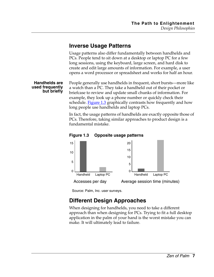## <span id="page-12-0"></span>**Inverse Usage Patterns**

Usage patterns also differ fundamentally between handhelds and PCs. People tend to sit down at a desktop or laptop PC for a few long sessions, using the keyboard, large screen, and hard disk to create and edit large amounts of information. For example, a user opens a word processor or spreadsheet and works for half an hour.

**Handhelds are used frequently but briefly**

People generally use handhelds in frequent, short bursts—more like a watch than a PC. They take a handheld out of their pocket or briefcase to review and update small chunks of information. For example, they look up a phone number or quickly check their schedule. [Figure 1.3](#page-12-2) graphically contrasts how frequently and how long people use handhelds and laptop PCs.

In fact, the usage patterns of handhelds are exactly opposite those of PCs. Therefore, taking similar approaches to product design is a fundamental mistake.

<span id="page-12-2"></span>



Source: Palm, Inc. user surveys.

## <span id="page-12-1"></span>**Different Design Approaches**

When designing for handhelds, you need to take a different approach than when designing for PCs. Trying to fit a full desktop application in the palm of your hand is the worst mistake you can make. It will ultimately lead to failure.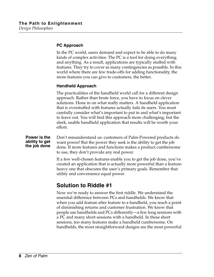#### **PC Approach**

In the PC world, users demand and expect to be able to do many kinds of complex activities. The PC is a tool for doing everything and anything. As a result, applications are typically stuffed with features. They try to cover as many contingencies as possible. In this world where there are few trade-offs for adding functionality, the more features you can give to customers, the better.

#### **Handheld Approach**

The practicalities of the handheld world call for a different design approach. Rather than brute force, you have to focus on clever solutions. Hone in on what really matters. A handheld application that is overstuffed with features actually fails its users. You must carefully consider what's important to put in and what's important to leave out. You will find this approach more challenging, but the sleek, usable handheld application that results will be worth your effort.

#### **Power is the ability to get the job done**

Don't misunderstand us: customers of Palm-Powered products do want power! But the power they seek is the ability to get the job done. If more features and functions makes a product cumbersome to use, they don't provide any real power.

If a few well-chosen features enable you to get the job done, you've created an application that is actually more powerful than a featureheavy one that obscures the user's primary goals. Remember that utility and convenience equal power.

### <span id="page-13-0"></span>**Solution to Riddle #1**

Now we're ready to answer the first riddle. We understand the essential difference between PCs and handhelds. We know that when you add feature after feature to a handheld, you reach a point of diminishing returns and customer frustration. We know that people use handhelds and PCs differently—a few long sessions with a PC and many short sessions with a handheld. In these short sessions, too many features make a handheld cumbersome. On handhelds, the most straightforward designs are the most powerful.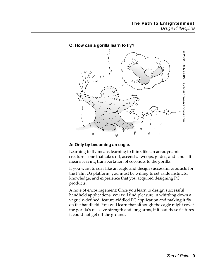

#### **Q: How can a gorilla learn to fly?**

#### **A: Only by becoming an eagle.**

Learning to fly means learning to think like an aerodynamic creature—one that takes off, ascends, swoops, glides, and lands. It means leaving transportation of coconuts to the gorilla.

If you want to soar like an eagle and design successful products for the Palm OS platform, you must be willing to set aside instincts, knowledge, and experience that you acquired designing PC products.

A note of encouragement: Once you learn to design successful handheld applications, you will find pleasure in whittling down a vaguely-defined, feature-riddled PC application and making it fly on the handheld. You will learn that although the eagle might covet the gorilla's massive strength and long arms, if it had these features it could not get off the ground.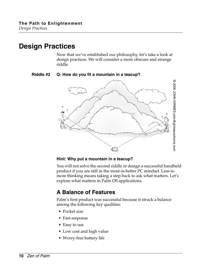## <span id="page-15-0"></span>**Design Practices**

Now that we've established our philosophy, let's take a look at design practices. We will consider a more obscure and strange riddle.

#### **Riddle #2 Q: How do you fit a mountain in a teacup?**



#### **Hint: Why put a mountain in a teacup?**

You will not solve the second riddle or design a successful handheld product if you are still in the more-is-better PC mindset. Less-ismore thinking means taking a step back to ask what matters. Let's explore what matters in Palm OS applications.

## <span id="page-15-1"></span>**A Balance of Features**

Palm's first product was successful because it struck a balance among the following key qualities:

- Pocket size
- Fast response
- Easy to use
- Low cost and high value
- Worry-free battery life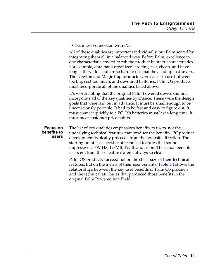• Seamless connection with PCs

All of these qualities are important individually, but Palm scored by integrating them all in a balanced way. Before Palm, excellence in one characteristic tended to rob the product in other characteristics. For example, data-bank organizers are tiny, fast, cheap, and have long battery life—but are so hard to use that they end up in drawers. The Newton and Magic Cap products were easier to use but were too big, cost too much, and devoured batteries. Palm OS products must incorporate all of the qualities listed above.

It's worth noting that the original Palm Powered device did not incorporate all of the key qualities by chance. These were the design goals that were laid out in advance: It must be small enough to be unconsciously portable. It had to be fast and easy to figure out. It must connect quickly to a PC. It's batteries must last a long time. It must meet customer price points.

#### **Focus on benefits to users**

The list of key qualities emphasizes benefits to users, not the underlying technical features that produce the benefits. PC product development typically proceeds from the opposite direction. The starting point is a checklist of technical features that sound impressive: 500MHz, 128MB, 12GB, and so on. The actual benefits users get from these features aren't always so clear.

Palm OS products succeed not on the sheer size of their technical features, but on the merits of their user benefits. **Table 1.1** shows the relationships between the key user benefits of Palm OS products and the technical attributes that produced those benefits in the original Palm Powered handheld.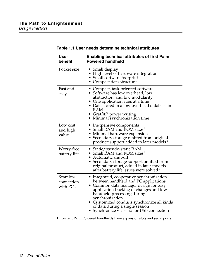<span id="page-17-0"></span>

| <b>User</b><br>benefit             | <b>Enabling technical attributes of first Palm</b><br><b>Powered handheld</b>                                                                                                                                                                                                                                                                          |
|------------------------------------|--------------------------------------------------------------------------------------------------------------------------------------------------------------------------------------------------------------------------------------------------------------------------------------------------------------------------------------------------------|
| Pocket size                        | • Small display<br>• High level of hardware integration<br>• Small software footprint<br>• Compact data structures                                                                                                                                                                                                                                     |
| Fast and<br>easy                   | • Compact, task-oriented software<br>• Software has low overhead, low<br>abstraction, and low modularity<br>• One application runs at a time<br>• Data stored in a low-overhead database in<br><b>RAM</b><br>• Graffiti <sup>®</sup> power writing<br>· Minimal synchronization time                                                                   |
| Low cost<br>and high<br>value      | • Inexpensive components<br>• Small RAM and ROM sizes <sup>1</sup><br>· Minimal hardware expansion<br>Secondary storage omitted from original<br>product; support added in later models. <sup>1</sup>                                                                                                                                                  |
| Worry-free<br>battery life         | • Static/pseudo-static RAM<br>• Small RAM and ROM sizes <sup>1</sup><br>• Automatic shut-off<br>Secondary storage support omitted from<br>original product; added in later models<br>after battery life issues were solved.                                                                                                                            |
| Seamless<br>connection<br>with PCs | • Integrated, cooperative synchronization<br>between handheld and PC applications<br>• Common data manager design for easy<br>application tracking of changes and low<br>handheld processing during<br>synchronization<br>• Customized conduits synchronize all kinds<br>of data during a single session<br>• Synchronize via serial or USB connection |

#### **Table 1.1 User needs determine technical attributes**

1. Current Palm Powered handhelds have expansion slots and serial ports.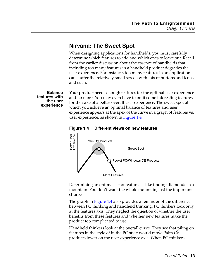## <span id="page-18-0"></span>**Nirvana: The Sweet Spot**

When designing applications for handhelds, you must carefully determine which features to add and which ones to leave out. Recall from the earlier discussion about the essence of handhelds that including too many features in a handheld product degrades the user experience. For instance, too many features in an application can clutter the relatively small screen with lots of buttons and icons and such.

<span id="page-18-1"></span>**Balance features with the user experience** Your product needs enough features for the optimal user experience and no more. You may even have to omit some interesting features for the sake of a better overall user experience. The sweet spot at which you achieve an optimal balance of features and user experience appears at the apex of the curve in a graph of features vs. user experience, as shown in **[Figure 1.4](#page-18-1)**.





Determining an optimal set of features is like finding diamonds in a mountain. You don't want the whole mountain, just the important chunks.

The graph in **Figure 1.4** also provides a reminder of the difference between PC thinking and handheld thinking. PC thinkers look only at the features axis. They neglect the question of whether the user benefits from these features and whether new features make the product too complicated to use.

Handheld thinkers look at the overall curve. They see that piling on features in the style of in the PC style would move Palm OS products lower on the user-experience axis. When PC thinkers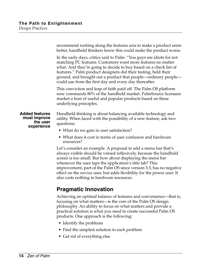|                                                                 | recommend rushing along the features axis to make a product seem<br>better, handheld thinkers know this could make the product worse.                                                                                                                                                                                                                                                                     |
|-----------------------------------------------------------------|-----------------------------------------------------------------------------------------------------------------------------------------------------------------------------------------------------------------------------------------------------------------------------------------------------------------------------------------------------------------------------------------------------------|
|                                                                 | In the early days, critics said to Palm: "You guys are idiots for not<br>matching PC features. Customers want more features no matter<br>what. And they're going to decide to buy based on a check list of<br>features." Palm product designers did their testing, held their<br>ground, and brought out a product that people-ordinary people-<br>could use from the first day and every day thereafter. |
|                                                                 | This conviction and leap of faith paid off. The Palm OS platform<br>now commands 80% of the handheld market. PalmSource licensees<br>market a host of useful and popular products based on these<br>underlying principles.                                                                                                                                                                                |
| <b>Added features</b><br>must improve<br>the user<br>experience | Handheld thinking is about balancing available technology and<br>utility. When faced with the possibility of a new feature, ask two<br>questions:                                                                                                                                                                                                                                                         |
|                                                                 | • What do we gain in user satisfaction?                                                                                                                                                                                                                                                                                                                                                                   |
|                                                                 | • What does it cost in terms of user confusion and hardware<br>resources?                                                                                                                                                                                                                                                                                                                                 |
|                                                                 | Let's consider an example. A proposal to add a menu bar that's<br>always visible should be vetoed reflexively, because the handheld<br>screen is too small. But how about displaying the menu bar<br>whenever the user taps the application's title tab? This                                                                                                                                             |

improvement, part of the Palm OS since version 3.5, has no negative effect on the novice user, but adds flexibility for the power user. It also costs nothing in hardware resources.

## <span id="page-19-0"></span>**Pragmatic Innovation**

Achieving an optimal balance of features and convenience—that is, focusing on what matters—is the core of the Palm OS design philosophy. An ability to focus on what matters and provide a practical solution is what you need to create successful Palm OS products. One approach is the following:

- Identify the problems
- Find the simplest solution to each problem
- Get rid of everything else.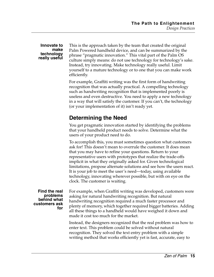#### **Innovate to make technology really useful**

This is the approach taken by the team that created the original Palm Powered handheld device, and can be summarized by the phrase "pragmatic innovation." This vital part of the Palm OS culture simply means: do not use technology for technology's sake. Instead, try innovating. Make technology really useful. Limit yourself to a mature technology or to one that you can make work efficiently.

For example, Graffiti writing was the first form of handwriting recognition that was actually practical. A compelling technology such as handwriting recognition that is implemented poorly is useless and even destructive. You need to apply a new technology in a way that will satisfy the customer. If you can't, the technology (or your implementation of it) isn't ready yet.

## <span id="page-20-0"></span>**Determining the Need**

You get pragmatic innovation started by identifying the problems that your handheld product needs to solve. Determine what the users of your product need to do.

To accomplish this, you must sometimes question what customers ask for! This doesn't mean to overrule the customer. It does mean that you may have to refine your questions. Return to your representative users with prototypes that realize the trade-offs implicit in what they originally asked for. Given technological limitations, propose alternate solutions and see how the users react. It is your job to meet the user's need—today, using available technology, innovating wherever possible, but with on eye on the clock. The customer is waiting.

**Find the real problems behind what customers ask for** For example, when Graffiti writing was developed, customers were asking for natural handwriting recognition. But natural handwriting recognition required a much faster processor and plenty of memory, which together required bigger batteries. Adding all these things to a handheld would have weighed it down and made it cost too much for the market.

> Instead, the designers recognized that the real problem was how to enter text. This problem could be solved without natural recognition. They solved the text entry problem with a simple writing method that works efficiently yet is fast, accurate, easy to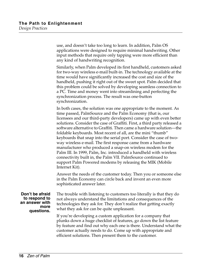use, and doesn't take too long to learn. In addition, Palm OS applications were designed to require minimal handwriting. Other input methods that require only tapping were more efficient than any kind of handwriting recognition.

Similarly, when Palm developed its first handheld, customers asked for two-way wireless e-mail built-in. The technology available at the time would have significantly increased the cost and size of the handheld, pushing it right out of the sweet spot. Palm decided that this problem could be solved by developing seamless connection to a PC. Time and money went into streamlining and perfecting the synchronization process. The result was one-button synchronization.

In both cases, the solution was one appropriate to the moment. As time passed, PalmSource and the Palm Economy (that is, our licensees and our third-party developers) came up with even better solutions. Consider the case of Graffiti. First, a third party released a software alternative to Graffiti. Then came a hardware solution—the foldable keyboards. Most recent of all, are the mini "thumb" keyboards that snap into the serial port. Consider the case of twoway wireless e-mail. The first response came from a hardware manufacturer who produced a snap-on wireless modem for the Palm III. In 1999, Palm, Inc. introduced a handheld with wireless connectivity built in, the Palm VII. PalmSource continued to support Palm Powered modems by releasing the MIK (Mobile Internet Kit).

Answer the needs of the customer today. Then you or someone else in the Palm Economy can circle back and invent an even more sophisticated answer later.

**Don't be afraid to respond to an answer with more questions.**

The trouble with listening to customers too literally is that they do not always understand the limitations and consequences of the technologies they ask for. They don't realize that getting exactly what they ask for can be quite unpleasant.

If you're developing a custom application for a company that plunks down a huge checklist of features, go down the list feature by feature and find out why each one is there. Understand what the customer actually needs to do. Come up with appropriate and efficient solutions. Then present them to the customer.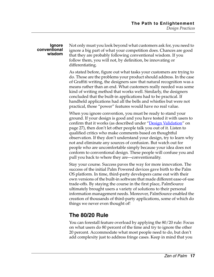#### **Ignore conventional wisdom**

Not only must you look beyond what customers ask for, you need to ignore a big part of what your competition does. Chances are good that they are probably following conventional wisdom. If you follow them, you will not, by definition, be innovating or differentiating.

As stated before, figure out what tasks your customers are trying to do. Those are the problems your product should address. In the case of Graffiti writing, the designers saw that natural recognition was a means rather than an end. What customers really needed was some kind of writing method that works well. Similarly, the designers concluded that the built-in applications had to be practical. If handheld applications had all the bells and whistles but were not practical, those "power" features would have no real value.

When you ignore convention, you must be ready to stand your ground. If your design is good and you have tested it with users to confirm that it works (as described under "Design Validation" on [page 27\)](#page-32-0), then don't let other people talk you out of it. Listen to qualified critics who make comments based on thoughtful observation. If they don't understand your design, try to learn why not and eliminate any sources of confusion. But watch out for people who are uncomfortable simply because your idea does not conform to conventional design. These people will confuse you and pull you back to where they are—conventionality.

Stay your course. Success paves the way for more innovation. The success of the initial Palm Powered devices gave birth to the Palm OS platform. In time, third-party developers came out with their own versions of the built-in software that made different ease-of-use trade-offs. By staying the course in the first place, PalmSource ultimately brought users a variety of solutions to their personal information management needs. Moreover, PalmSource enabled the creation of thousands of third-party applications, some of which do things we never even thought of!

## <span id="page-22-0"></span>**The 80/20 Rule**

You can forestall feature overload by applying the 80/20 rule: Focus on what users do 80 percent of the time and try to ignore the other 20 percent. Accommodate what most people need to do, but don't add complexity just to address fringe cases. Keep in mind that you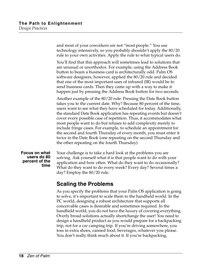and most of your coworkers are not "most people." You use technology intensively, so you probably shouldn't apply the 80/20 rule to your own activities. Apply the rule to what typical users do.

You'll find that this approach will sometimes lead to solutions that are unusual or unorthodox. For example, using the Address Book button to beam a business card is architecturally odd. Palm OS software designers, however, applied the 80/20 rule and decided that one of the most important uses of infrared (IR) would be to send business cards. Then they came up with a way to make it happen just by pressing the Address Book button for two seconds.

Another example of the 80/20 rule: Pressing the Date Book button takes you to the current date. Why? Because 80 percent of the time, users want to see what they have scheduled for today. Additionally, the standard Date Book application has repeating events but doesn't cover every possible case of repetition. Thus, it accommodates what most people want to do but refuses to add complexity merely to include fringe cases. For example, to schedule an appointment for the second and fourth Thursday of every month, you must enter it twice in the Date Book (one repeating on the second Thursday and the other repeating on the fourth Thursday).

**Focus on what users do 80 percent of the time**

Your challenge is to take a hard look at the problems you are solving. Ask yourself what it is that people want to do with your application and how often. What do they want to do occasionally? What do they want to do every week? Every day? Several times a day? Employ the 80/20 rule.

## <span id="page-23-0"></span>**Scaling the Problems**

As you specify the problems that your Palm OS application is going to solve, it's important to scale them to the handheld world. In the PC world, designing a robust architecture that supports all conceivable cases is desirable and sometimes required. In the handheld world, you do not have the luxury of covering everything. Overly broad solutions actually shortchange the user! You need to design a handheld product as you would prepare for a backpacking trip, not for a car camping trip. If you're driving somewhere, you toss in extra shoes, canned food, beverages, whatever you please. You don't really think much about it. If you're backpacking,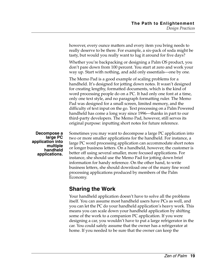however, every ounce matters and every item you bring needs to really deserve to be there. For example, a six-pack of soda might be tasty, but would you really want to lug it around for five days? Whether you're backpacking or designing a Palm OS product, you don't pare down from 100 percent. You start at zero and work your way up. Start with nothing, and add only essentials—one by one. The Memo Pad is a good example of scaling problems for a handheld. It's designed for jotting down notes. It wasn't designed for creating lengthy, formatted documents, which is the kind of word processing people do on a PC. It had only one font at a time, only one text style, and no paragraph formatting ruler. The Memo Pad was designed for a small screen, limited memory, and the difficulty of text input on the go. Text processing on a Palm Powered handheld has come a long way since 1996—thanks in part to our third-party developers. The Memo Pad, however, still serves its original purpose: inputting short notes for future reference. Sometimes you may want to decompose a large PC application into two or more smaller applications for the handheld. For instance, a large PC word processing application can accommodate short notes

**Decompose a large PC application into multiple handheld applications.**

or longer business letters. On a handheld, however, the customer is better off using several smaller, more focused applications. For instance, she should use the Memo Pad for jotting down brief information for handy reference. On the other hand, to write business letters, she should download one of the many fine word processing applications produced by members of the Palm Economy.

## <span id="page-24-0"></span>**Sharing the Work**

Your handheld application doesn't have to solve all the problems itself. You can assume most handheld users have PCs as well, and you can let the PC do your handheld application's heavy work. This means you can scale down your handheld application by shifting some of the work to a companion PC application. If you were designing a car, you wouldn't have to put a large refrigerator in the car. You could safely assume that the owner has a refrigerator at home. If you needed to be sure that the owner can keep the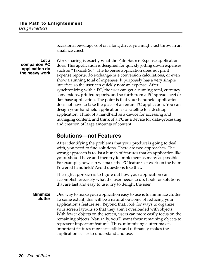*Design Practices*

occasional beverage cool on a long drive, you might just throw in an small ice chest.

#### **Let a companion PC application do the heavy work**

Work sharing is exactly what the PalmSource Expense application does. This application is designed for quickly jotting down expenses such as "Taxicab \$6". The Expense application does not print expense reports, do exchange-rate conversion calculations, or even show a running total of expenses. It purposely has a very simple interface so the user can quickly note an expense. After synchronizing with a PC, the user can get a running total, currency conversions, printed reports, and so forth from a PC spreadsheet or database application. The point is that your handheld application does not have to take the place of an entire PC application. You can design your handheld application as a satellite to a desktop application. Think of a handheld as a device for accessing and managing content, and think of a PC as a device for data-processing and creation of large amounts of content.

## <span id="page-25-0"></span>**Solutions—not Features**

After identifying the problems that your product is going to deal with, you need to find solutions. There are two approaches. The wrong approach is to list a bunch of features that an application like yours should have and then try to implement as many as possible. For example, how can we make the PC feature set work on the Palm Powered handheld? Avoid questions like that.

The right approach is to figure out how your application can accomplish precisely what the user needs to do. Look for solutions that are fast and easy to use. Try to delight the user.

**Minimize clutter** One way to make your application easy to use is to minimize clutter. To some extent, this will be a natural outcome of reducing your application's feature set. Beyond that, look for ways to organize your screen layouts so that they aren't overloaded with objects. With fewer objects on the screen, users can more easily focus on the remaining objects. Naturally, you'll want those remaining objects to represent important features. Thus, minimizing clutter makes important features more accessible and ultimately makes the application easier to understand and use.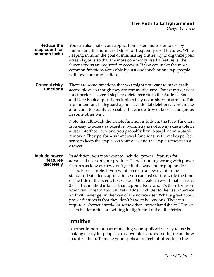| <b>Reduce the</b><br>step count for<br>common tasks | You can also make your application faster and easier to use by<br>minimizing the number of steps for frequently used features. While<br>keeping in mind the goal of minimizing clutter, try to organize your<br>screen layouts so that the more commonly used a feature is, the<br>fewer actions are required to access it. If you can make the most<br>common functions accessible by just one touch or one tap, people<br>will love your application.                                                                                                                                                                                                                                                                                                                                                                                                             |
|-----------------------------------------------------|---------------------------------------------------------------------------------------------------------------------------------------------------------------------------------------------------------------------------------------------------------------------------------------------------------------------------------------------------------------------------------------------------------------------------------------------------------------------------------------------------------------------------------------------------------------------------------------------------------------------------------------------------------------------------------------------------------------------------------------------------------------------------------------------------------------------------------------------------------------------|
| <b>Conceal risky</b><br>functions                   | There are some functions that you might not want to make easily<br>accessible even though they are commonly used. For example, users<br>must perform several steps to delete records in the Address Book<br>and Date Book applications (unless they use a shortcut stroke). This<br>is an intentional safeguard against accidental deletions. Don't make<br>a function too easily accessible if it can destroy data or is dangerous<br>in some other way.                                                                                                                                                                                                                                                                                                                                                                                                           |
|                                                     | Note that although the Delete function is hidden, the New function<br>is as easy to access as possible. Symmetry is not always desirable in<br>a user interface. At work, you probably have a stapler and a staple<br>remover. They perform symmetrical functions, yet it makes perfect<br>sense to keep the stapler on your desk and the staple remover in a<br>drawer.                                                                                                                                                                                                                                                                                                                                                                                                                                                                                            |
| Include power<br>features<br>discreetly             | In addition, you may want to include "power" features for<br>advanced users of your product. There's nothing wrong with power<br>features as long as they don't get in the way and trip up novice<br>users. For example, if you want to create a new event in the<br>standard Date Book application, you can just start to write the time<br>or the title of the event. Just write a 3 to create an event that starts at<br>3:00. That method is faster than tapping New, and it's there for users<br>who want to learn about it. Yet it adds no clutter to the user interface<br>and will never get in the way of the novice user. What's great about<br>power features is that they don't have to be obvious. They can<br>require a shortcut stroke or some other "secret handshake." Power<br>users by definition are willing to dig to find out all the tricks. |
|                                                     |                                                                                                                                                                                                                                                                                                                                                                                                                                                                                                                                                                                                                                                                                                                                                                                                                                                                     |

## <span id="page-26-0"></span>**Intuitive**

Another important part of making your application easy to use is making it easy for people to discover its features and figure out how to utilize them. To make your application feel intuitive, keep the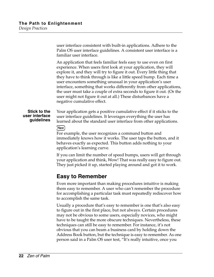user interface consistent with built-in applications. Adhere to the Palm OS user interface guidelines. A consistent user interface is a familiar user interface.

An application that feels familiar feels easy to use even on first experience. When users first look at your application, they will explore it, and they will try to figure it out. Every little thing that they have to think through is like a little speed bump. Each time a user encounters something unusual in your application's user interface, something that works differently from other applications, the user must take a couple of extra seconds to figure it out. (Or the user might not figure it out at all.) These disturbances have a negative cumulative effect.

#### **Stick to the user interface guidelines**

Your application gets a positive cumulative effect if it sticks to the user interface guidelines. It leverages everything the user has learned about the standard user interface from other applications.

#### [New]

For example, the user recognizes a command button and immediately knows how it works. The user taps the button, and it behaves exactly as expected. This button adds nothing to your application's learning curve.

If you can limit the number of speed bumps, users will get through your application and think, Wow! That was really easy to figure out. They just picked it up, started playing around and got it to work.

### <span id="page-27-0"></span>**Easy to Remember**

Even more important than making procedures intuitive is making them easy to remember. A user who can't remember the procedure for accomplishing a particular task must repeatedly rediscover how to accomplish the same task.

Usually a procedure that's easy to remember is one that's also easy to figure out in the first place, but not always. Certain procedures may not be obvious to some users, especially novices, who might have to be taught the more obscure techniques. Nevertheless, these techniques can still be easy to remember. For instance, it's not obvious that you can beam a business card by holding down the Address Book button, but the technique is easy to remember. As one person said in a Palm OS user test, "It's really intuitive, once you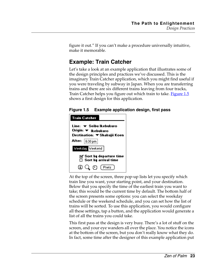figure it out." If you can't make a procedure universally intuitive, make it memorable.

## <span id="page-28-0"></span>**Example: Train Catcher**

Let's take a look at an example application that illustrates some of the design principles and practices we've discussed. This is the imaginary Train Catcher application, which you might find useful if you were traveling by subway in Japan. When you are transferring trains and there are six different trains leaving from four tracks, Train Catcher helps you figure out which train to take. **[Figure 1.5](#page-28-1)** shows a first design for this application.

<span id="page-28-1"></span>**Figure 1.5 Example application design, first pass**

| <b>Train Catcher</b>                                                           |
|--------------------------------------------------------------------------------|
| Line: ▼ Seibu Ikebukuro<br>Origin: ▼  kebukuro<br>Destination: ▼ Shakujii Koen |
| After: $ 8:30 \text{ pm} $                                                     |
| Weekday Weekend                                                                |
| $\boxtimes$ Sort by departure time<br>$\Box$ Sort by arrival time              |
| ①Qの(Prefs)                                                                     |

At the top of the screen, three pop-up lists let you specify which train line you want, your starting point, and your destination. Below that you specify the time of the earliest train you want to take; this would be the current time by default. The bottom half of the screen presents some options: you can select the weekday schedule or the weekend schedule, and you can set how the list of trains will be sorted. To use this application, you would configure all these settings, tap a button, and the application would generate a list of all the trains you could take.

This first pass at the design is very busy. There's a lot of stuff on the screen, and your eye wanders all over the place. You notice the icons at the bottom of the screen, but you don't really know what they do. In fact, some time after the designer of this example application put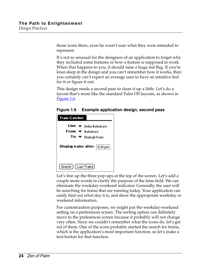those icons there, even he wasn't sure what they were intended to represent.

It's not so unusual for the designers of an application to forget why they included some features or how a feature is supposed to work. When that happens to you, it should raise a huge red flag. If you're knee-deep in the design and you can't remember how it works, then you certainly can't expect an average user to have an intuitive feel for it or figure it out.

This design needs a second pass to clean it up a little. Let's do a layout that's more like the standard Palm OS layouts, as shown in [Figure 1.6](#page-29-0).

<span id="page-29-0"></span>**Figure 1.6 Example application design, second pass**



Let's line up the three pop-ups at the top of the screen. Let's add a couple more words to clarify the purpose of the time field. We can eliminate the weekday-weekend indicator. Generally, the user will be searching for trains that are running today. Your application can easily find out what day it is, and show the appropriate weekday or weekend information.

For customization purposes, we might put the weekday-weekend setting on a preferences screen. The sorting option can definitely move to the preferences screen because it probably will not change very often. Since we couldn't remember what the icons do, let's get rid of them. One of the icons probably started the search for trains, which is the application's most important function, so let's make a text button for that function.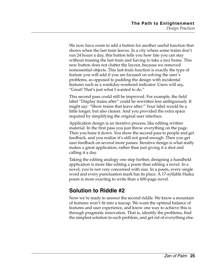We now have room to add a button for another useful function that shows when the last train leaves. In a city where some trains don't run 24 hours a day, this button tells you how late you can stay without missing the last train and having to take a taxi home. This new button does not clutter the layout, because we removed nonessential objects. This last-train function is exactly the type of feature you will add if you are focused on solving the user's problems, as opposed to padding the design with incidental features such as a weekday-weekend indicator. Users will say, "Great! That's just what I wanted to do."

This second pass could still be improved. For example, the field label "Display trains after" could be rewritten less ambiguously. It might say: "Show trains that leave after:" Your label would be a little longer, but also clearer. And you provided the extra space required by simplifying the original user interface.

Application design is an iterative process, like editing written material. In the first pass you just throw everything on the page. Then you hone it down. You show the second pass to people and get feedback, and you realize it's still not good enough. Then you get user feedback on several more passes. Iterative design is what really makes a great application, rather than just giving it a shot and calling it a day.

Taking the editing analogy one step further, designing a handheld application is more like editing a poem than editing a novel. In a novel, you're not very concerned with size. In a poem, every single word and every punctuation mark has its place. A 17-syllable Haiku poem is more exacting to write than a 600-page novel.

## <span id="page-30-0"></span>**Solution to Riddle #2**

Now we're ready to answer the second riddle. We know a mountain of features won't fit into a teacup. We want the optimal balance of features and user experience, and know one way to achieve this is through pragmatic innovation. That is, identify the problems, find the simplest solution to each problem, and get rid of everything else.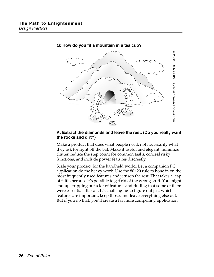

#### **Q: How do you fit a mountain in a tea cup?**

#### **A: Extract the diamonds and leave the rest. (Do you really want the rocks and dirt?)**

Make a product that does what people need, not necessarily what they ask for right off the bat. Make it useful and elegant: minimize clutter, reduce the step count for common tasks, conceal risky functions, and include power features discreetly.

Scale your product for the handheld world. Let a companion PC application do the heavy work. Use the 80/20 rule to hone in on the most frequently used features and jettison the rest. That takes a leap of faith, because it's possible to get rid of the wrong stuff. You might end up stripping out a lot of features and finding that some of them were essential after all. It's challenging to figure out just which features are important, keep those, and leave everything else out.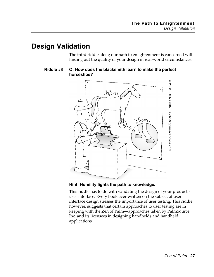## <span id="page-32-0"></span>**Design Validation**

The third riddle along our path to enlightenment is concerned with finding out the quality of your design in real-world circumstances:

#### **Riddle #3 Q: How does the blacksmith learn to make the perfect horseshoe?**



#### **Hint: Humility lights the path to knowledge.**

This riddle has to do with validating the design of your product's user interface. Every book ever written on the subject of user interface design stresses the importance of user testing. This riddle, however, suggests that certain approaches to user testing are in keeping with the Zen of Palm—approaches taken by PalmSource, Inc. and its licensees in designing handhelds and handheld applications.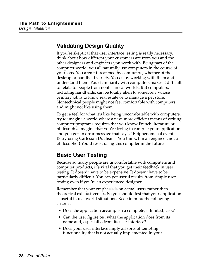## <span id="page-33-0"></span>**Validating Design Quality**

If you're skeptical that user interface testing is really necessary, think about how different your customers are from you and the other designers and engineers you work with. Being part of the computer world, you all naturally use computers in the course of your jobs. You aren't threatened by computers, whether of the desktop or handheld variety. You enjoy working with them and understand them. Your familiarity with computers makes it difficult to relate to people from nontechnical worlds. But computers, including handhelds, can be totally alien to somebody whose primary job is to know real estate or to manage a pet store. Nontechnical people might not feel comfortable with computers and might not like using them.

To get a feel for what it's like being uncomfortable with computers, try to imagine a world where a new, more efficient means of writing computer programs requires that you know French literature or philosophy. Imagine that you're trying to compile your application and you get an error message that says, "Epiphenomenal event. Retry using Cartesian Dualism." You think, I'm an engineer, not a philosopher! You'd resist using this compiler in the future.

## <span id="page-33-1"></span>**Basic User Testing**

Because so many people are uncomfortable with computers and computer products, it's vital that you get their feedback in user testing. It doesn't have to be expensive. It doesn't have to be particularly difficult. You can get useful results from simple user testing even if you're an experienced designer.

Remember that your emphasis is on actual users rather than theoretical exhaustiveness. So you should test that your application is useful in real world situations. Keep in mind the following criteria:

- Does the application accomplish a complete, if limited, task?
- Can the user figure out what the application does from its name and, especially, from its user interface?
- Does your user interface imply all sorts of tempting functionality that is not actually implemented in your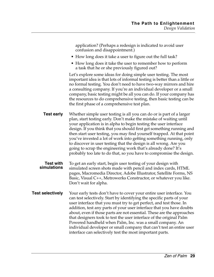application? (Perhaps a redesign is indicated to avoid user confusion and disappointment.)

- How long does it take a user to figure out the full task?
- How long does it take the user to remember how to perform a task that he or she previously figured out?

Let's explore some ideas for doing simple user testing. The most important idea is that lots of informal testing is better than a little or no formal testing. You don't need to have two-way mirrors and hire a consulting company. If you're an individual developer or a small company, basic testing might be all you can do. If your company has the resources to do comprehensive testing, then basic testing can be the first phase of a comprehensive test plan.

**Test early** Whether simple user testing is all you can do or is part of a larger plan, start testing early. Don't make the mistake of waiting until your application is in alpha to begin testing the user interface design. If you think that you should first get something running and then start user testing, you may find yourself trapped. At that point you've invested a lot of work into getting something running, only to discover in user testing that the design is all wrong. Are you going to scrap the engineering work that's already done? It's probably too late to do that, so you have to compromise the design.

- **Test with simulations** To get an early start, begin user testing of your design with simulated screen shots made with pencil and index cards, HTML pages, Macromedia Director, Adobe Illustrator, Satellite Forms, NS Basic, Visual C++, Metrowerks Constructor, or whatever you like. Don't wait for alpha.
- **Test selectively** Your early tests don't have to cover your entire user interface. You can test selectively. Start by identifying the specific parts of your user interface that you must try to get perfect, and test those. In addition, test any parts of your user interface that you have doubts about, even if those parts are not essential. These are the approaches that designers took to test the user interface of the original Palm Powered handheld when Palm, Inc. was a small company. An individual developer or small company that can't test an entire user interface can selectively test the most important parts.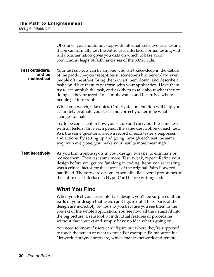Of course, you should not stop with informal, selective user testing if you can formally test the entire user interface. Formal testing with full documentation gives you data on which to base your convictions, leaps of faith, and uses of the 80/20 rule. **Test outsiders, and be methodical** Your test subjects can be anyone who isn't knee-deep in the details of the product—your receptionist, someone's brother-in-law, even people off the street. Bring them in, sit them down, and describe a task you'd like them to perform with your application. Have them try to accomplish the task, and ask them to talk about what they're doing as they proceed. You simply watch and listen. See where people get into trouble. While you watch, take notes. Orderly documentation will help you accurately evaluate your tests and correctly determine what changes to make. Try to be consistent in how you set up and carry out the same test with all testers. Give each person the same description of each test. Ask the same questions. Keep a record of each tester's responses and actions. By setting up and going through each test the same way with everyone, you make your results more meaningful. **Test iteratively** As you find trouble spots in your design, tweak it to eliminate or reduce them. Then test some more. Test, tweak, repeat. Refine your design before you get too far along in coding. Iterative user testing was a critical factor for the success of the original Palm Powered handheld. The software designers actually did several prototypes of the entire user interface in HyperCard before writing code.

## <span id="page-35-0"></span>**What You Find**

When you test your user interface design, you'll be surprised at the parts of your design that users can't figure out. These parts of the design are incredibly obvious to you because you see them in the context of the whole application. You see how all the details fit into the big picture. Users look at individual features or procedures without that context and simply have no idea what's going on.

You need to know if users can't figure out where they're supposed to touch the screen or what to enter. For example, PalmSource, Inc.'s Network HotSync® software, which enables network and remote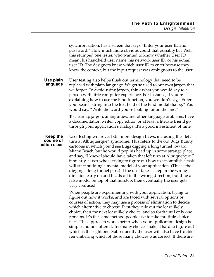|                                       | synchronization, has a screen that says "Enter your user ID and<br>password." How much more obvious could that possibly be? Well,<br>this stumped one tester, who wanted to know whether User ID<br>meant his handheld user name, his network user ID, or his e-mail<br>user ID. The designers knew which user ID to enter because they<br>knew the context, but the input request was ambiguous to the user.                                                                                                                                                                                                                                                                                                                                |
|---------------------------------------|----------------------------------------------------------------------------------------------------------------------------------------------------------------------------------------------------------------------------------------------------------------------------------------------------------------------------------------------------------------------------------------------------------------------------------------------------------------------------------------------------------------------------------------------------------------------------------------------------------------------------------------------------------------------------------------------------------------------------------------------|
| Use plain<br>language                 | User testing also helps flush out terminology that need to be<br>replaced with plain language. We get so used to our own jargon that<br>we forget. To avoid using jargon, think what you would say to a<br>person with little computer experience. For instance, if you're<br>explaining how to use the Find function, you wouldn't say, "Enter<br>your search string into the text field of the Find modal dialog." You<br>would say, "Write the word you're looking for on the line."                                                                                                                                                                                                                                                      |
|                                       | To clean up jargon, ambiguities, and other language problems, have<br>a documentation writer, copy editor, or at least a literate friend go<br>through your application's dialogs. It's a good investment of time.                                                                                                                                                                                                                                                                                                                                                                                                                                                                                                                           |
| Keep the<br>course of<br>action clear | User testing will reveal still more design flaws, including the "left"<br>turn at Albuquerque" syndrome. This refers to the old Bugs Bunny<br>cartoons in which you'd see Bugs digging a long tunnel toward<br>Miami Beach, but he would pop his head up in some strange place<br>and say, "I knew I should have taken that left turn at Albuquerque."<br>Similarly, a user who is trying to figure out how to accomplish a task<br>will start building a mental model of your application. (This is the<br>digging a long tunnel part.) If the user takes a step in the wrong<br>direction early on and heads off in the wrong direction, building a<br>false model on top of that misstep, then eventually the user gets<br>very confused. |
|                                       | When people are experimenting with your application, trying to<br>figure out how it works, and are faced with several options or<br>courses of action, they may use a process of elimination to decide<br>which alternative to choose. First they rule out the least likely<br>choice, then the next least likely choice, and so forth until only one<br>remains. It's the same method people use to take multiple-choice<br>tests. This approach works better when your application design is<br>simple and uncluttered. Too many choices make it hard to figure out<br>which is the right one. Subsequently the user will also have trouble<br>remembering which of those many choices was correct. If there are                           |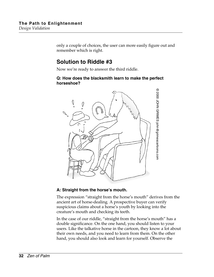only a couple of choices, the user can more easily figure out and remember which is right.

## <span id="page-37-0"></span>**Solution to Riddle #3**

Now we're ready to answer the third riddle.

#### **Q: How does the blacksmith learn to make the perfect horseshoe?**



#### **A: Straight from the horse's mouth.**

The expression "straight from the horse's mouth" derives from the ancient art of horse-dealing. A prospective buyer can verify suspicious claims about a horse's youth by looking into the creature's mouth and checking its teeth.

In the case of our riddle, "straight from the horse's mouth" has a double significance. On the one hand, you should listen to your users. Like the talkative horse in the cartoon, they know a lot about their own needs, and you need to learn from them. On the other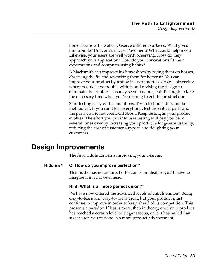horse. See how he walks. Observe different surfaces. What gives him trouble? Uneven surfaces? Pavement? What could help most? Likewise, your users are well worth observing. How do they approach your application? How do your innovations fit their expectations and computer-using habits?

A blacksmith can improve his horseshoes by trying them on horses, observing the fit, and reworking them for better fit. You can improve your product by testing its user interface design, observing where people have trouble with it, and revising the design to eliminate the trouble. This may seem obvious, but it's tough to take the necessary time when you're rushing to get the product done.

Start testing early with simulations. Try to test outsiders and be methodical. If you can't test everything, test the critical parts and the parts you're not confident about. Keep testing as your product evolves. The effort you put into user testing will pay you back several times over by increasing your product's long-term usability, reducing the cost of customer support, and delighting your customers.

## <span id="page-38-0"></span>**Design Improvements**

The final riddle concerns improving your designs.

#### **Riddle #4 Q: How do you improve perfection?**

This riddle has no picture. Perfection is an ideal, so you'll have to imagine it in your own head.

#### **Hint: What is a "more perfect union?"**

We have now entered the advanced levels of enlightenment. Being easy-to-learn and easy-to-use is great, but your product must continue to improve in order to keep ahead of its competition. This presents a paradox. If less is more, then in theory, once your product has reached a certain level of elegant focus, once it has nailed that sweet spot, you're done. No more product advancement.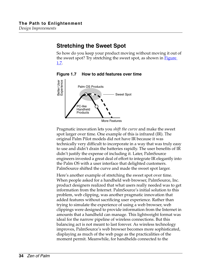## <span id="page-39-0"></span>**Stretching the Sweet Spot**

So how do you keep your product moving without moving it out of the sweet spot? Try stretching the sweet spot, as shown in **Figure** [1.7](#page-39-1).

**Figure 1.7 How to add features over time**

<span id="page-39-1"></span>

Pragmatic innovation lets you *shift the curve* and make the sweet spot larger over time. One example of this is infrared (IR). The original Palm Pilot models did not have IR because it was technically very difficult to incorporate in a way that was truly easy to use and didn't drain the batteries rapidly. The user benefits of IR didn't justify the expense of including it. Later, PalmSource engineers invested a great deal of effort to integrate IR elegantly into the Palm OS with a user interface that delighted customers. PalmSource shifted the curve and made the sweet spot larger.

Here's another example of stretching the sweet spot over time. When people asked for a handheld web browser, PalmSource, Inc. product designers realized that what users really needed was to get information from the Internet. PalmSource's initial solution to this problem, web clipping, was another pragmatic innovation that added features without sacrificing user experience. Rather than trying to simulate the experience of using a web browser, web clippings were designed to provide information from the Internet in amounts that a handheld can manage. This lightweight format was ideal for the narrow pipeline of wireless connections. But this balancing act is not meant to last forever. As wireless technology improves, PalmSource's web browser becomes more sophisticated, displaying as much of the web page as the practicalities of the moment permit. Meanwhile, for handhelds connected to the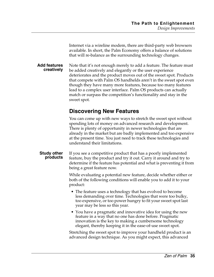Internet via a wireline modem, there are third-party web browsers available. In short, the Palm Economy offers a balance of solutions that will re-balance as the surrounding technology changes.

**Add features creatively** Note that it's not enough merely to add a feature. The feature must be added creatively and elegantly or the user experience deteriorates and the product moves out of the sweet spot. Products that compete with Palm OS handhelds aren't in the sweet spot even though they have many more features, because too many features lead to a complex user interface. Palm OS products can actually match or surpass the competition's functionality and stay in the sweet spot.

## <span id="page-40-0"></span>**Discovering New Features**

You can come up with new ways to stretch the sweet spot without spending lots of money on advanced research and development. There is plenty of opportunity in newer technologies that are already in the market but are badly implemented and too expensive at the present time. You just need to track these technologies and understand their limitations.

**Study other products** If you see a competitive product that has a poorly implemented feature, buy the product and try it out. Carry it around and try to determine if the feature has potential and what is preventing it from being a great feature now.

> While evaluating a potential new feature, decide whether either or both of the following conditions will enable you to add it to your product:

- The feature uses a technology that has evolved to become less demanding over time. Technologies that were too bulky, too expensive, or too power hungry to fit your sweet spot last year may be less so this year.
- You have a pragmatic and innovative idea for using the new feature in a way that no one has done before. Pragmatic innovation is the key to making a cumbersome technology elegant, thereby keeping it in the ease-of-use sweet spot.

Stretching the sweet spot to improve your handheld product is an advanced design technique. As you might expect, this advanced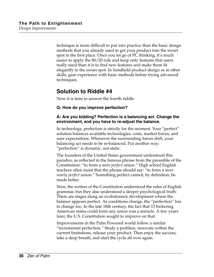technique is more difficult to put into practice than the basic design methods that you already used to get your product into the sweet spot in the first place. Once you let go of PC thinking, it's much easier to apply the 80/20 rule and keep only features that users really need than it is to find new features and make them fit elegantly in the sweet spot. In handheld product design as in other skills, gain experience with basic methods before trying advanced techniques.

## <span id="page-41-0"></span>**Solution to Riddle #4**

Now it is time to answer the fourth riddle.

#### **Q: How do you improve perfection?**

#### **A: Are you kidding? Perfection is a balancing act. Change the environment, and you have to re-adjust the balance.**

In technology, perfection is strictly for the moment. Your "perfect" solution balances available technologies, costs, market forces, and user expectations. Whenever the surrounding forces shift, your balancing act needs to be re-balanced. Put another way: "perfection" is dynamic, not static.

The founders of the United States government understood this paradox, as reflected in the famous phrase from the preamble of the Constitution: "to form a *more perfect* union." High school English teachers often insist that the phrase should say: "to form a *more nearly perfect* union." Something perfect cannot, by definition, be made better.

Now, the writers of the Constitution understood the rules of English grammar, but they also understood a deeper psychological truth: There are stages along an evolutionary development where the balance appears perfect. As conditions change, the "perfection" has to change too. In the late 18th century, the fact that 13 bickering American states could form any union was a miracle. A few years later, the U.S. Constitution sought to improve on that.

Improvements in the Palm Powered world follow a similar "incremental perfection." Study a problem, innovate within the current limitations, release your product. Then enjoy the success, take a deep breath, and start the cycle all over again.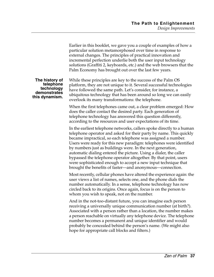Earlier in this booklet, we gave you a couple of examples of how a particular solution metamorphosed over time in response to external changes. The principles of practical innovation and incremental perfection underlie both the user input technology solutions (Graffiti 2, keyboards, etc.) and the web browsers that the Palm Economy has brought out over the last few years. **The history of telephone technology demonstrates this dynamism.** While these principles are key to the success of the Palm OS platform, they are not unique to it. Several successful technologies have followed the same path. Let's consider, for instance, a ubiquitous technology that has been around so long we can easily overlook its many transformations: the telephone. When the first telephones came out, a clear problem emerged: How does the caller contact the desired party. Each generation of telephone technology has answered this question differently, according to the resources and user expectations of its time. In the earliest telephone networks, callers spoke directly to a human telephone operator and asked for their party by name. This quickly became impractical, so each telephone was assigned a number. Users were ready for this new paradigm: telephones were identified by numbers just as buildings were. In the next generation, automatic dialing entered the picture. Using a dialer, the caller bypassed the telephone operator altogether. By that point, users were sophisticated enough to accept a new input technique that brought the benefits of faster—and anonymous—connection. Most recently, cellular phones have altered the experience again: the user views a list of names, selects one, and the phone dials the number automatically. In a sense, telephone technology has now circled back to its origins. Once again, focus is on the person to whom you wish to speak, not on the number. And in the not-too-distant future, you can imagine each person receiving a universally unique communication number (at birth?). Associated with a person rather than a location, the number makes a person reachable on virtually any telephone device. The telephone number becomes a permanent and unique identifier and would probably be concealed behind the person's name. (We might also hope for appropriate call blocks and filters.)